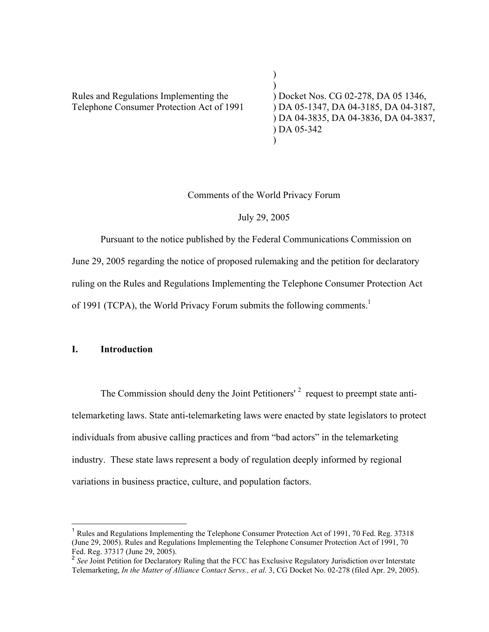Rules and Regulations Implementing the ) Docket Nos. CG 02-278, DA 05 1346, Telephone Consumer Protection Act of 1991 ) DA 05-1347, DA 04-3185, DA 04-3187,

) ) DA 04-3835, DA 04-3836, DA 04-3837, ) DA 05-342  $\lambda$ 

Comments of the World Privacy Forum

)

July 29, 2005

Pursuant to the notice published by the Federal Communications Commission on June 29, 2005 regarding the notice of proposed rulemaking and the petition for declaratory ruling on the Rules and Regulations Implementing the Telephone Consumer Protection Act of 1991 (TCPA), the World Privacy Forum submits the following comments.<sup>1</sup>

### I. Introduction

The Commission should deny the Joint Petitioners'<sup>2</sup> request to preempt state antitelemarketing laws. State anti-telemarketing laws were enacted by state legislators to protect individuals from abusive calling practices and from "bad actors" in the telemarketing industry. These state laws represent a body of regulation deeply informed by regional variations in business practice, culture, and population factors.

<sup>&</sup>lt;sup>1</sup> Rules and Regulations Implementing the Telephone Consumer Protection Act of 1991, 70 Fed. Reg. 37318 (June 29, 2005). Rules and Regulations Implementing the Telephone Consumer Protection Act of 1991, 70 Fed. Reg. 37317 (June 29, 2005).

<sup>&</sup>lt;sup>2</sup> See Joint Petition for Declaratory Ruling that the FCC has Exclusive Regulatory Jurisdiction over Interstate Telemarketing, *In the Matter of Alliance Contact Servs., et al.* 3, CG Docket No. 02-278 (filed Apr. 29, 2005).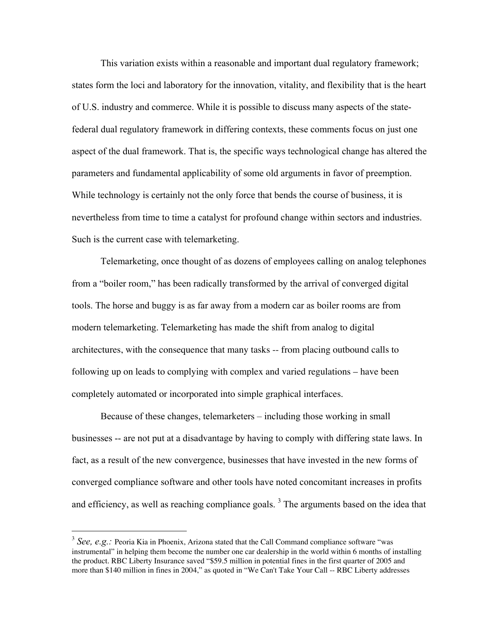This variation exists within a reasonable and important dual regulatory framework; states form the loci and laboratory for the innovation, vitality, and flexibility that is the heart of U.S. industry and commerce. While it is possible to discuss many aspects of the statefederal dual regulatory framework in differing contexts, these comments focus on just one aspect of the dual framework. That is, the specific ways technological change has altered the parameters and fundamental applicability of some old arguments in favor of preemption. While technology is certainly not the only force that bends the course of business, it is nevertheless from time to time a catalyst for profound change within sectors and industries. Such is the current case with telemarketing.

Telemarketing, once thought of as dozens of employees calling on analog telephones from a "boiler room," has been radically transformed by the arrival of converged digital tools. The horse and buggy is as far away from a modern car as boiler rooms are from modern telemarketing. Telemarketing has made the shift from analog to digital architectures, with the consequence that many tasks -- from placing outbound calls to following up on leads to complying with complex and varied regulations – have been completely automated or incorporated into simple graphical interfaces.

Because of these changes, telemarketers – including those working in small businesses -- are not put at a disadvantage by having to comply with differing state laws. In fact, as a result of the new convergence, businesses that have invested in the new forms of converged compliance software and other tools have noted concomitant increases in profits and efficiency, as well as reaching compliance goals.<sup>3</sup> The arguments based on the idea that

<sup>&</sup>lt;sup>3</sup> See. e.g.: Peoria Kia in Phoenix, Arizona stated that the Call Command compliance software "was instrumental" in helping them become the number one car dealership in the world within 6 months of installing the product. RBC Liberty Insurance saved "\$59.5 million in potential fines in the first quarter of 2005 and more than \$140 million in fines in 2004," as quoted in "We Can't Take Your Call -- RBC Liberty addresses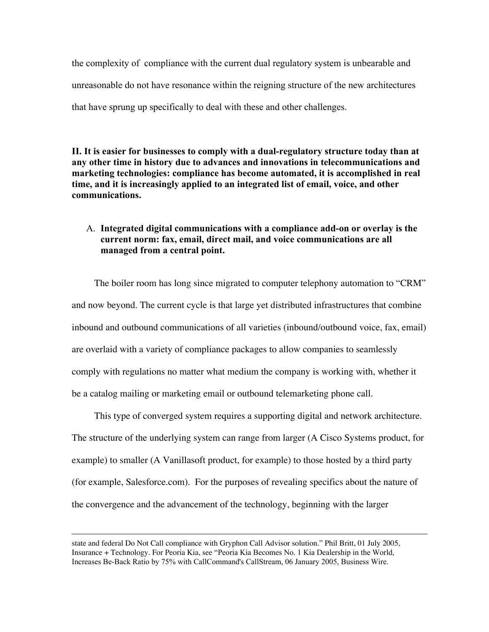the complexity of compliance with the current dual regulatory system is unbearable and unreasonable do not have resonance within the reigning structure of the new architectures that have sprung up specifically to deal with these and other challenges.

II. It is easier for businesses to comply with a dual-regulatory structure today than at any other time in history due to advances and innovations in telecommunications and marketing technologies: compliance has become automated, it is accomplished in real time, and it is increasingly applied to an integrated list of email, voice, and other communications.

## A. Integrated digital communications with a compliance add-on or overlay is the current norm: fax, email, direct mail, and voice communications are all managed from a central point.

The boiler room has long since migrated to computer telephony automation to "CRM" and now beyond. The current cycle is that large yet distributed infrastructures that combine inbound and outbound communications of all varieties (inbound/outbound voice, fax, email) are overlaid with a variety of compliance packages to allow companies to seamlessly comply with regulations no matter what medium the company is working with, whether it be a catalog mailing or marketing email or outbound telemarketing phone call.

This type of converged system requires a supporting digital and network architecture. The structure of the underlying system can range from larger (A Cisco Systems product, for example) to smaller (A Vanillasoft product, for example) to those hosted by a third party (for example, Salesforce.com). For the purposes of revealing specifics about the nature of the convergence and the advancement of the technology, beginning with the larger

 $\overline{a}$ 

state and federal Do Not Call compliance with Gryphon Call Advisor solution." Phil Britt, 01 July 2005, Insurance + Technology. For Peoria Kia, see "Peoria Kia Becomes No. 1 Kia Dealership in the World, Increases Be-Back Ratio by 75% with CallCommand's CallStream, 06 January 2005, Business Wire.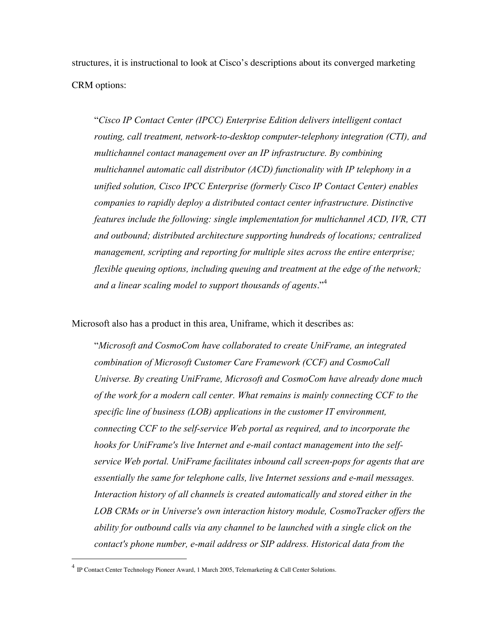structures, it is instructional to look at Cisco's descriptions about its converged marketing CRM options:

"*Cisco IP Contact Center (IPCC) Enterprise Edition delivers intelligent contact routing, call treatment, network-to-desktop computer-telephony integration (CTI), and multichannel contact management over an IP infrastructure. By combining multichannel automatic call distributor (ACD) functionality with IP telephony in a unified solution, Cisco IPCC Enterprise (formerly Cisco IP Contact Center) enables companies to rapidly deploy a distributed contact center infrastructure. Distinctive features include the following: single implementation for multichannel ACD, IVR, CTI and outbound; distributed architecture supporting hundreds of locations; centralized management, scripting and reporting for multiple sites across the entire enterprise; flexible queuing options, including queuing and treatment at the edge of the network; and a linear scaling model to support thousands of agents*."<sup>4</sup>

Microsoft also has a product in this area, Uniframe, which it describes as:

"*Microsoft and CosmoCom have collaborated to create UniFrame, an integrated combination of Microsoft Customer Care Framework (CCF) and CosmoCall Universe. By creating UniFrame, Microsoft and CosmoCom have already done much of the work for a modern call center. What remains is mainly connecting CCF to the specific line of business (LOB) applications in the customer IT environment, connecting CCF to the self-service Web portal as required, and to incorporate the hooks for UniFrame's live Internet and e-mail contact management into the selfservice Web portal. UniFrame facilitates inbound call screen-pops for agents that are essentially the same for telephone calls, live Internet sessions and e-mail messages. Interaction history of all channels is created automatically and stored either in the LOB CRMs or in Universe's own interaction history module, CosmoTracker offers the ability for outbound calls via any channel to be launched with a single click on the contact's phone number, e-mail address or SIP address. Historical data from the*

 <sup>4</sup> IP Contact Center Technology Pioneer Award, 1 March 2005, Telemarketing & Call Center Solutions.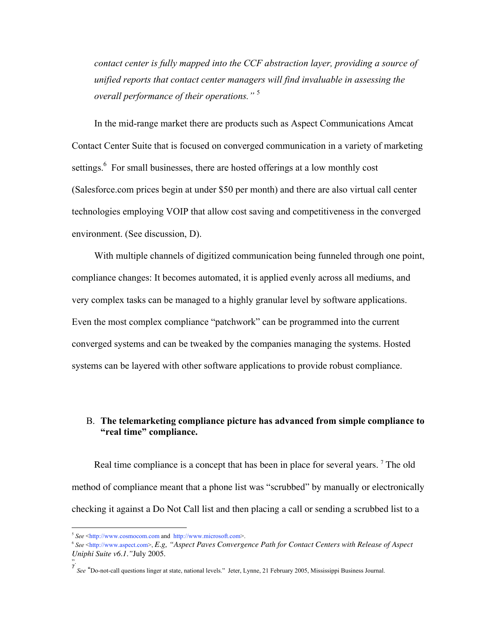*contact center is fully mapped into the CCF abstraction layer, providing a source of unified reports that contact center managers will find invaluable in assessing the overall performance of their operations."* <sup>5</sup>

In the mid-range market there are products such as Aspect Communications Amcat Contact Center Suite that is focused on converged communication in a variety of marketing settings.<sup>6</sup> For small businesses, there are hosted offerings at a low monthly cost (Salesforce.com prices begin at under \$50 per month) and there are also virtual call center technologies employing VOIP that allow cost saving and competitiveness in the converged environment. (See discussion, D).

With multiple channels of digitized communication being funneled through one point, compliance changes: It becomes automated, it is applied evenly across all mediums, and very complex tasks can be managed to a highly granular level by software applications. Even the most complex compliance "patchwork" can be programmed into the current converged systems and can be tweaked by the companies managing the systems. Hosted systems can be layered with other software applications to provide robust compliance.

# B. The telemarketing compliance picture has advanced from simple compliance to "real time" compliance.

Real time compliance is a concept that has been in place for several years. <sup>7</sup> The old method of compliance meant that a phone list was "scrubbed" by manually or electronically checking it against a Do Not Call list and then placing a call or sending a scrubbed list to a

 $\overline{a}$ 

<sup>5</sup> *See* <http://www.cosmocom.com and http://www.microsoft.com>.

<sup>6</sup> *See* <http://www.aspect.com>, *E.g, "Aspect Paves Convergence Path for Contact Centers with Release of Aspect Uniphi Suite v6.1."*July 2005.

<sup>&</sup>quot;.<br><sup>7</sup> *See* "Do-not-call questions linger at state, national levels." Jeter, Lynne, 21 February 2005, Mississippi Business Journal.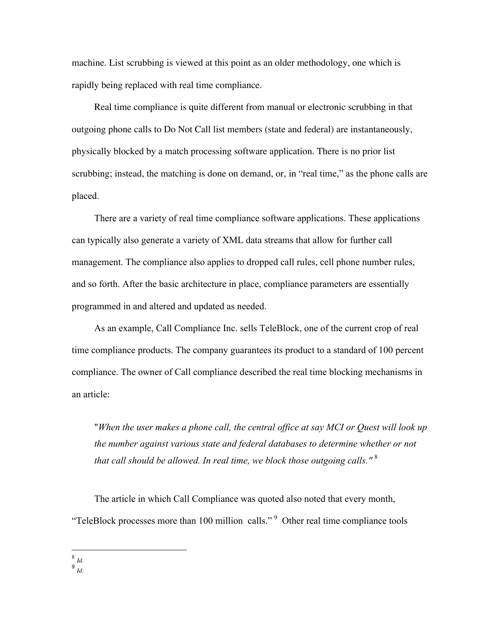machine. List scrubbing is viewed at this point as an older methodology, one which is rapidly being replaced with real time compliance.

Real time compliance is quite different from manual or electronic scrubbing in that outgoing phone calls to Do Not Call list members (state and federal) are instantaneously, physically blocked by a match processing software application. There is no prior list scrubbing; instead, the matching is done on demand, or, in "real time," as the phone calls are placed.

There are a variety of real time compliance software applications. These applications can typically also generate a variety of XML data streams that allow for further call management. The compliance also applies to dropped call rules, cell phone number rules, and so forth. After the basic architecture in place, compliance parameters are essentially programmed in and altered and updated as needed.

As an example, Call Compliance Inc. sells TeleBlock, one of the current crop of real time compliance products. The company guarantees its product to a standard of 100 percent compliance. The owner of Call compliance described the real time blocking mechanisms in an article:

"*When the user makes a phone call, the central office at say MCI or Quest will look up the number against various state and federal databases to determine whether or not that call should be allowed. In real time, we block those outgoing calls."* <sup>8</sup>

The article in which Call Compliance was quoted also noted that every month, "TeleBlock processes more than 100 million calls."  $9$  Other real time compliance tools

8 *Id.*

<sup>9</sup> *Id.*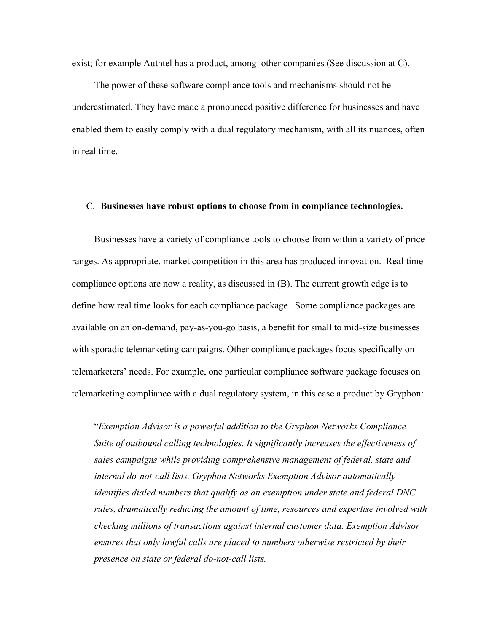exist; for example Authtel has a product, among other companies (See discussion at C).

The power of these software compliance tools and mechanisms should not be underestimated. They have made a pronounced positive difference for businesses and have enabled them to easily comply with a dual regulatory mechanism, with all its nuances, often in real time.

#### C. Businesses have robust options to choose from in compliance technologies.

Businesses have a variety of compliance tools to choose from within a variety of price ranges. As appropriate, market competition in this area has produced innovation. Real time compliance options are now a reality, as discussed in (B). The current growth edge is to define how real time looks for each compliance package. Some compliance packages are available on an on-demand, pay-as-you-go basis, a benefit for small to mid-size businesses with sporadic telemarketing campaigns. Other compliance packages focus specifically on telemarketers' needs. For example, one particular compliance software package focuses on telemarketing compliance with a dual regulatory system, in this case a product by Gryphon:

"*Exemption Advisor is a powerful addition to the Gryphon Networks Compliance Suite of outbound calling technologies. It significantly increases the effectiveness of sales campaigns while providing comprehensive management of federal, state and internal do-not-call lists. Gryphon Networks Exemption Advisor automatically identifies dialed numbers that qualify as an exemption under state and federal DNC rules, dramatically reducing the amount of time, resources and expertise involved with checking millions of transactions against internal customer data. Exemption Advisor ensures that only lawful calls are placed to numbers otherwise restricted by their presence on state or federal do-not-call lists.*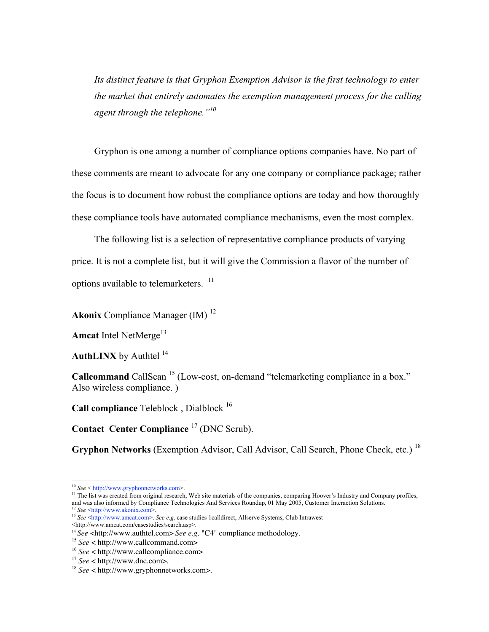*Its distinct feature is that Gryphon Exemption Advisor is the first technology to enter the market that entirely automates the exemption management process for the calling agent through the telephone."<sup>10</sup>*

Gryphon is one among a number of compliance options companies have. No part of these comments are meant to advocate for any one company or compliance package; rather the focus is to document how robust the compliance options are today and how thoroughly these compliance tools have automated compliance mechanisms, even the most complex.

The following list is a selection of representative compliance products of varying price. It is not a complete list, but it will give the Commission a flavor of the number of options available to telemarketers.<sup>11</sup>

Akonix Compliance Manager (IM)<sup>12</sup>

Amcat Intel NetMerge<sup>13</sup>

**AuthLINX** by Authtel  $14$ 

Callcommand CallScan<sup>15</sup> (Low-cost, on-demand "telemarketing compliance in a box." Also wireless compliance. )

**Call compliance** Teleblock, Dialblock  $16$ 

Contact Center Compliance  $^{17}$  (DNC Scrub).

Gryphon Networks (Exemption Advisor, Call Advisor, Call Search, Phone Check, etc.)<sup>18</sup>

<sup>10</sup> *See* < http://www.gryphonnetworks.com>.

<sup>&</sup>lt;sup>11</sup> The list was created from original research, Web site materials of the companies, comparing Hoover's Industry and Company profiles, and was also informed by Compliance Technologies And Services Roundup, 01 May 2005, Customer Interaction Solutions. <sup>12</sup> *See* <http://www.akonix.com>.

<sup>&</sup>lt;sup>13</sup> See <http://www.amcat.com>. See e.g. case studies 1calldirect, Allserve Systems, Club Intrawest

<sup>&</sup>lt;http://www.amcat.com/casestudies/search.asp>.

<sup>14</sup> *See* <http://www.authtel.com> *See e.g.* "C4" compliance methodology.

<sup>15</sup> *See* < http://www.callcommand.com>

<sup>16</sup> *See* < http://www.callcompliance.com>

<sup>17</sup>  *See* < http://www.dnc.com>.

<sup>18</sup> *See* < http://www.gryphonnetworks.com>.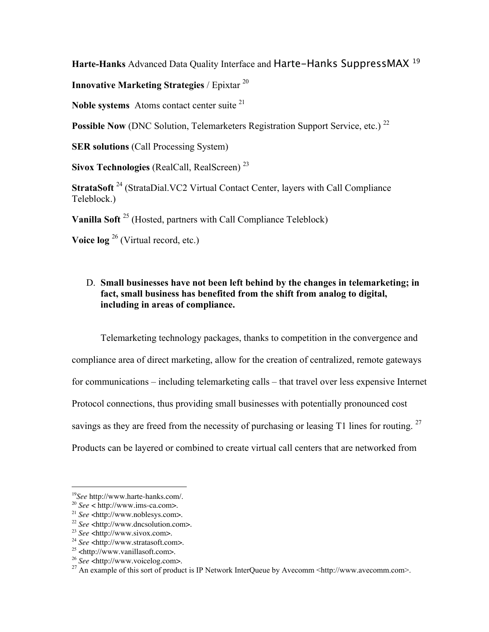Harte-Hanks Advanced Data Quality Interface and Harte-Hanks SuppressMAX<sup>19</sup>

Innovative Marketing Strategies / Epixtar <sup>20</sup>

Noble systems Atoms contact center suite  $21$ 

Possible Now (DNC Solution, Telemarketers Registration Support Service, etc.)<sup>22</sup>

SER solutions (Call Processing System)

Sivox Technologies (RealCall, RealScreen)<sup>23</sup>

StrataSoft<sup>24</sup> (StrataDial.VC2 Virtual Contact Center, layers with Call Compliance Teleblock.)

Vanilla Soft<sup>25</sup> (Hosted, partners with Call Compliance Teleblock)

Voice  $\log^{26}$  (Virtual record, etc.)

# D. Small businesses have not been left behind by the changes in telemarketing; in fact, small business has benefited from the shift from analog to digital, including in areas of compliance.

Telemarketing technology packages, thanks to competition in the convergence and compliance area of direct marketing, allow for the creation of centralized, remote gateways for communications – including telemarketing calls – that travel over less expensive Internet Protocol connections, thus providing small businesses with potentially pronounced cost savings as they are freed from the necessity of purchasing or leasing T1 lines for routing. <sup>27</sup> Products can be layered or combined to create virtual call centers that are networked from

 <sup>19</sup> *See* http://www.harte-hanks.com/.

<sup>20</sup>  *See* < http://www.ims-ca.com>.

<sup>21</sup> *See* <http://www.noblesys.com>.

<sup>22</sup>  *See* <http://www.dncsolution.com>.

<sup>23</sup> *See* <http://www.sivox.com>.

<sup>24</sup> *See* <http://www.stratasoft.com>.

<sup>&</sup>lt;sup>25</sup> <http://www.vanillasoft.com>.

<sup>&</sup>lt;sup>26</sup> *See* <http://www.voicelog.com>.

<sup>&</sup>lt;sup>27</sup> An example of this sort of product is IP Network InterQueue by Avecomm <http://www.avecomm.com>.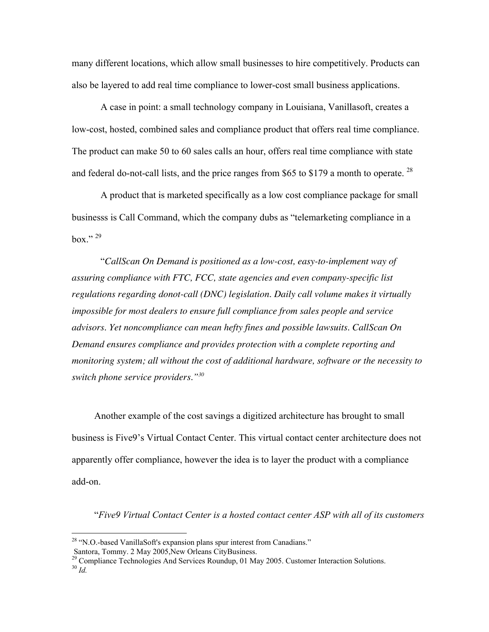many different locations, which allow small businesses to hire competitively. Products can also be layered to add real time compliance to lower-cost small business applications.

A case in point: a small technology company in Louisiana, Vanillasoft, creates a low-cost, hosted, combined sales and compliance product that offers real time compliance. The product can make 50 to 60 sales calls an hour, offers real time compliance with state and federal do-not-call lists, and the price ranges from \$65 to \$179 a month to operate.<sup>28</sup>

A product that is marketed specifically as a low cost compliance package for small businesss is Call Command, which the company dubs as "telemarketing compliance in a hox<sup>"</sup>

"*CallScan On Demand is positioned as a low-cost, easy-to-implement way of assuring compliance with FTC, FCC, state agencies and even company-specific list regulations regarding donot-call (DNC) legislation. Daily call volume makes it virtually impossible for most dealers to ensure full compliance from sales people and service advisors. Yet noncompliance can mean hefty fines and possible lawsuits. CallScan On Demand ensures compliance and provides protection with a complete reporting and monitoring system; all without the cost of additional hardware, software or the necessity to switch phone service providers."30*

Another example of the cost savings a digitized architecture has brought to small business is Five9's Virtual Contact Center. This virtual contact center architecture does not apparently offer compliance, however the idea is to layer the product with a compliance add-on.

"*Five9 Virtual Contact Center is a hosted contact center ASP with all of its customers*

<sup>&</sup>lt;sup>28</sup> "N.O.-based VanillaSoft's expansion plans spur interest from Canadians."

Santora, Tommy. 2 May 2005,New Orleans CityBusiness. 29 Compliance Technologies And Services Roundup, 01 May 2005. Customer Interaction Solutions.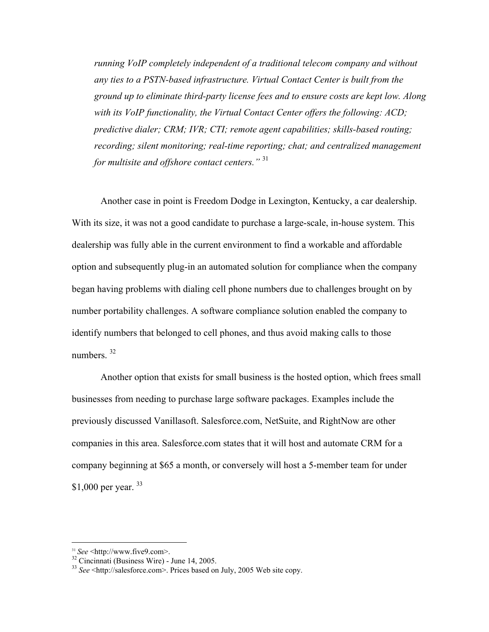*running VoIP completely independent of a traditional telecom company and without any ties to a PSTN-based infrastructure. Virtual Contact Center is built from the ground up to eliminate third-party license fees and to ensure costs are kept low. Along with its VoIP functionality, the Virtual Contact Center offers the following: ACD; predictive dialer; CRM; IVR; CTI; remote agent capabilities; skills-based routing; recording; silent monitoring; real-time reporting; chat; and centralized management for multisite and offshore contact centers."* <sup>31</sup>

Another case in point is Freedom Dodge in Lexington, Kentucky, a car dealership. With its size, it was not a good candidate to purchase a large-scale, in-house system. This dealership was fully able in the current environment to find a workable and affordable option and subsequently plug-in an automated solution for compliance when the company began having problems with dialing cell phone numbers due to challenges brought on by number portability challenges. A software compliance solution enabled the company to identify numbers that belonged to cell phones, and thus avoid making calls to those numbers $32$ 

Another option that exists for small business is the hosted option, which frees small businesses from needing to purchase large software packages. Examples include the previously discussed Vanillasoft. Salesforce.com, NetSuite, and RightNow are other companies in this area. Salesforce.com states that it will host and automate CRM for a company beginning at \$65 a month, or conversely will host a 5-member team for under \$1,000 per year. <sup>33</sup>

 $\overline{a}$ 

<sup>&</sup>lt;sup>31</sup> *See* <http://www.five9.com>.<br> $32$  Cincinnati (Business Wire) - June 14, 2005.

<sup>33</sup> *See* <http://salesforce.com>. Prices based on July, 2005 Web site copy.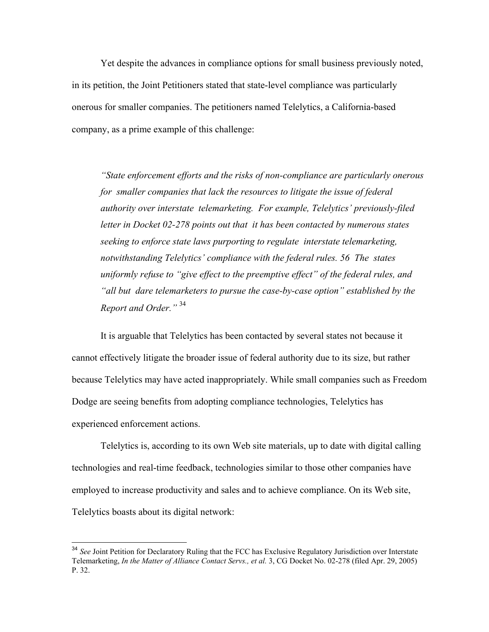Yet despite the advances in compliance options for small business previously noted, in its petition, the Joint Petitioners stated that state-level compliance was particularly onerous for smaller companies. The petitioners named Telelytics, a California-based company, as a prime example of this challenge:

*"State enforcement efforts and the risks of non-compliance are particularly onerous for smaller companies that lack the resources to litigate the issue of federal authority over interstate telemarketing. For example, Telelytics' previously-filed letter in Docket 02-278 points out that it has been contacted by numerous states seeking to enforce state laws purporting to regulate interstate telemarketing, notwithstanding Telelytics' compliance with the federal rules. 56 The states uniformly refuse to "give effect to the preemptive effect" of the federal rules, and "all but dare telemarketers to pursue the case-by-case option" established by the Report and Order."* <sup>34</sup>

It is arguable that Telelytics has been contacted by several states not because it cannot effectively litigate the broader issue of federal authority due to its size, but rather because Telelytics may have acted inappropriately. While small companies such as Freedom Dodge are seeing benefits from adopting compliance technologies, Telelytics has experienced enforcement actions.

Telelytics is, according to its own Web site materials, up to date with digital calling technologies and real-time feedback, technologies similar to those other companies have employed to increase productivity and sales and to achieve compliance. On its Web site, Telelytics boasts about its digital network:

<sup>&</sup>lt;sup>34</sup> See Joint Petition for Declaratory Ruling that the FCC has Exclusive Regulatory Jurisdiction over Interstate Telemarketing, *In the Matter of Alliance Contact Servs., et al.* 3, CG Docket No. 02-278 (filed Apr. 29, 2005) P. 32.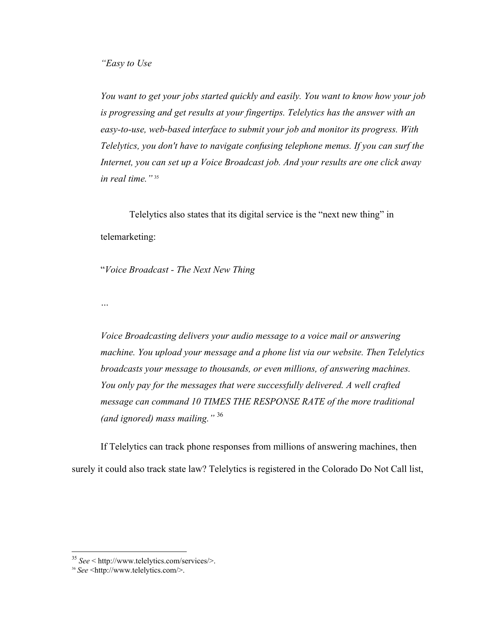*You want to get your jobs started quickly and easily. You want to know how your job is progressing and get results at your fingertips. Telelytics has the answer with an easy-to-use, web-based interface to submit your job and monitor its progress. With Telelytics, you don't have to navigate confusing telephone menus. If you can surf the Internet, you can set up a Voice Broadcast job. And your results are one click away in real time."* <sup>35</sup>

Telelytics also states that its digital service is the "next new thing" in telemarketing:

"*Voice Broadcast - The Next New Thing*

*…*

*Voice Broadcasting delivers your audio message to a voice mail or answering machine. You upload your message and a phone list via our website. Then Telelytics broadcasts your message to thousands, or even millions, of answering machines. You only pay for the messages that were successfully delivered. A well crafted message can command 10 TIMES THE RESPONSE RATE of the more traditional (and ignored) mass mailing."* <sup>36</sup>

If Telelytics can track phone responses from millions of answering machines, then surely it could also track state law? Telelytics is registered in the Colorado Do Not Call list,

<sup>35</sup> *See* < http://www.telelytics.com/services/>.

<sup>36</sup> *See* <http://www.telelytics.com/>.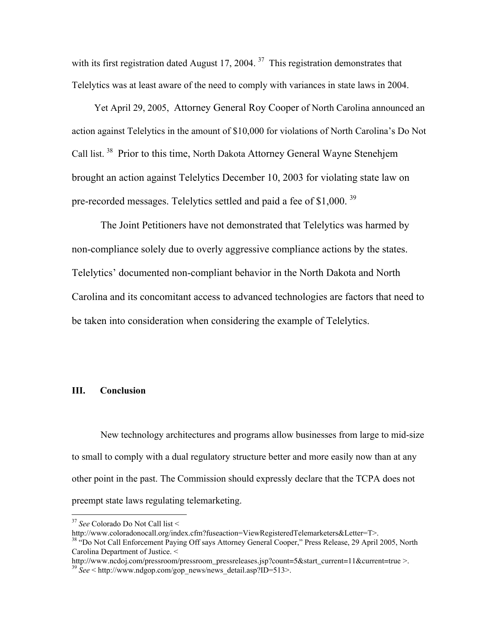with its first registration dated August 17, 2004.<sup>37</sup> This registration demonstrates that Telelytics was at least aware of the need to comply with variances in state laws in 2004.

Yet April 29, 2005, Attorney General Roy Cooper of North Carolina announced an action against Telelytics in the amount of \$10,000 for violations of North Carolina's Do Not Call list. 38 Prior to this time, North Dakota Attorney General Wayne Stenehjem brought an action against Telelytics December 10, 2003 for violating state law on pre-recorded messages. Telelytics settled and paid a fee of \$1,000.<sup>39</sup>

The Joint Petitioners have not demonstrated that Telelytics was harmed by non-compliance solely due to overly aggressive compliance actions by the states. Telelytics' documented non-compliant behavior in the North Dakota and North Carolina and its concomitant access to advanced technologies are factors that need to be taken into consideration when considering the example of Telelytics.

### III. Conclusion

New technology architectures and programs allow businesses from large to mid-size to small to comply with a dual regulatory structure better and more easily now than at any other point in the past. The Commission should expressly declare that the TCPA does not preempt state laws regulating telemarketing.

http://www.ncdoj.com/pressroom/pressroom\_pressreleases.jsp?count=5&start\_current=11&current=true >.<br><sup>39</sup> *See* < http://www.ndgop.com/gop\_news/news\_detail.asp?ID=513>.

<sup>37</sup> *See* Colorado Do Not Call list <

http://www.coloradonocall.org/index.cfm?fuseaction=ViewRegisteredTelemarketers&Letter=T>.

<sup>&</sup>lt;sup>38</sup> "Do Not Call Enforcement Paying Off says Attorney General Cooper," Press Release, 29 April 2005, North Carolina Department of Justice. <